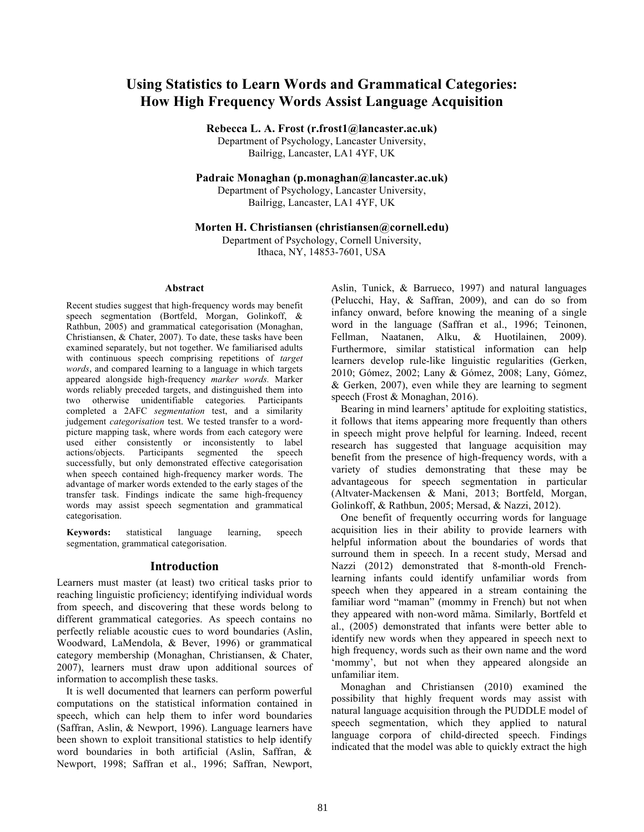# **Using Statistics to Learn Words and Grammatical Categories: How High Frequency Words Assist Language Acquisition**

**Rebecca L. A. Frost (r.frost1@lancaster.ac.uk)**

Department of Psychology, Lancaster University, Bailrigg, Lancaster, LA1 4YF, UK

**Padraic Monaghan (p.monaghan@lancaster.ac.uk)**

Department of Psychology, Lancaster University, Bailrigg, Lancaster, LA1 4YF, UK

### **Morten H. Christiansen (christiansen@cornell.edu)**

Department of Psychology, Cornell University, Ithaca, NY, 14853-7601, USA

#### **Abstract**

Recent studies suggest that high-frequency words may benefit speech segmentation (Bortfeld, Morgan, Golinkoff, & Rathbun, 2005) and grammatical categorisation (Monaghan, Christiansen, & Chater, 2007). To date, these tasks have been examined separately, but not together. We familiarised adults with continuous speech comprising repetitions of *target words*, and compared learning to a language in which targets appeared alongside high-frequency *marker words.* Marker words reliably preceded targets, and distinguished them into two otherwise unidentifiable categories*.* Participants completed a 2AFC *segmentation* test, and a similarity judgement *categorisation* test. We tested transfer to a wordpicture mapping task, where words from each category were used either consistently or inconsistently to label actions/objects. Participants segmented the speech successfully, but only demonstrated effective categorisation when speech contained high-frequency marker words. The advantage of marker words extended to the early stages of the transfer task. Findings indicate the same high-frequency words may assist speech segmentation and grammatical categorisation.

**Keywords:** statistical language learning, speech segmentation, grammatical categorisation.

# **Introduction**

Learners must master (at least) two critical tasks prior to reaching linguistic proficiency; identifying individual words from speech, and discovering that these words belong to different grammatical categories. As speech contains no perfectly reliable acoustic cues to word boundaries (Aslin, Woodward, LaMendola, & Bever, 1996) or grammatical category membership (Monaghan, Christiansen, & Chater, 2007), learners must draw upon additional sources of information to accomplish these tasks.

It is well documented that learners can perform powerful computations on the statistical information contained in speech, which can help them to infer word boundaries (Saffran, Aslin, & Newport, 1996). Language learners have been shown to exploit transitional statistics to help identify word boundaries in both artificial (Aslin, Saffran, & Newport, 1998; Saffran et al., 1996; Saffran, Newport, Aslin, Tunick, & Barrueco, 1997) and natural languages (Pelucchi, Hay, & Saffran, 2009), and can do so from infancy onward, before knowing the meaning of a single word in the language (Saffran et al., 1996; Teinonen, Fellman, Naatanen, Alku, & Huotilainen, 2009). Furthermore, similar statistical information can help learners develop rule-like linguistic regularities (Gerken, 2010; Gómez, 2002; Lany & Gómez, 2008; Lany, Gómez, & Gerken, 2007), even while they are learning to segment speech (Frost & Monaghan, 2016).

Bearing in mind learners' aptitude for exploiting statistics, it follows that items appearing more frequently than others in speech might prove helpful for learning. Indeed, recent research has suggested that language acquisition may benefit from the presence of high-frequency words, with a variety of studies demonstrating that these may be advantageous for speech segmentation in particular (Altvater-Mackensen & Mani, 2013; Bortfeld, Morgan, Golinkoff, & Rathbun, 2005; Mersad, & Nazzi, 2012).

One benefit of frequently occurring words for language acquisition lies in their ability to provide learners with helpful information about the boundaries of words that surround them in speech. In a recent study, Mersad and Nazzi (2012) demonstrated that 8-month-old Frenchlearning infants could identify unfamiliar words from speech when they appeared in a stream containing the familiar word "maman" (mommy in French) but not when they appeared with non-word mãma. Similarly, Bortfeld et al., (2005) demonstrated that infants were better able to identify new words when they appeared in speech next to high frequency, words such as their own name and the word 'mommy', but not when they appeared alongside an unfamiliar item.

Monaghan and Christiansen (2010) examined the possibility that highly frequent words may assist with natural language acquisition through the PUDDLE model of speech segmentation, which they applied to natural language corpora of child-directed speech. Findings indicated that the model was able to quickly extract the high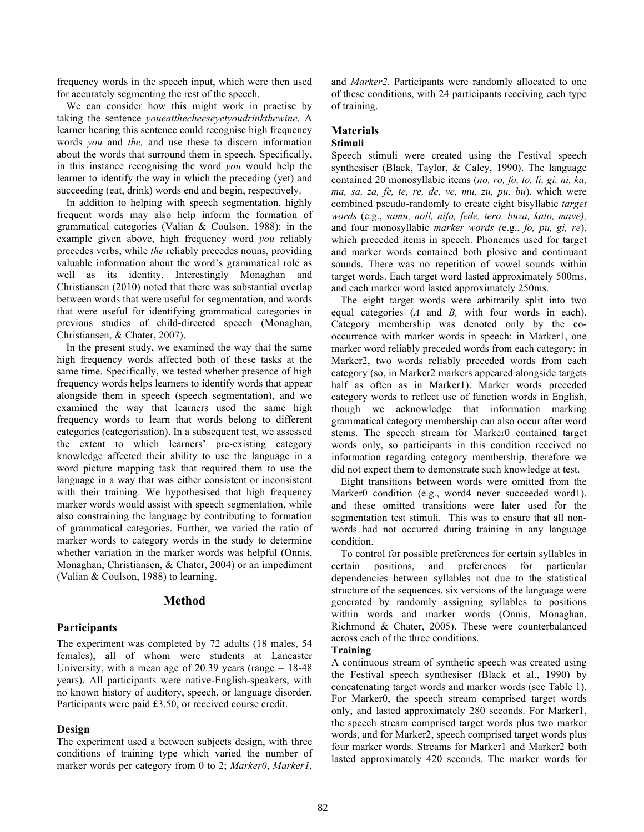frequency words in the speech input, which were then used for accurately segmenting the rest of the speech.

We can consider how this might work in practise by taking the sentence *youeatthecheeseyetyoudrinkthewine*. A learner hearing this sentence could recognise high frequency words *you* and *the,* and use these to discern information about the words that surround them in speech. Specifically, in this instance recognising the word *you* would help the learner to identify the way in which the preceding (yet) and succeeding (eat, drink) words end and begin, respectively.

In addition to helping with speech segmentation, highly frequent words may also help inform the formation of grammatical categories (Valian & Coulson, 1988): in the example given above, high frequency word *you* reliably precedes verbs, while *the* reliably precedes nouns, providing valuable information about the word's grammatical role as well as its identity. Interestingly Monaghan and Christiansen (2010) noted that there was substantial overlap between words that were useful for segmentation, and words that were useful for identifying grammatical categories in previous studies of child-directed speech (Monaghan, Christiansen, & Chater, 2007).

In the present study, we examined the way that the same high frequency words affected both of these tasks at the same time. Specifically, we tested whether presence of high frequency words helps learners to identify words that appear alongside them in speech (speech segmentation), and we examined the way that learners used the same high frequency words to learn that words belong to different categories (categorisation). In a subsequent test, we assessed the extent to which learners' pre-existing category knowledge affected their ability to use the language in a word picture mapping task that required them to use the language in a way that was either consistent or inconsistent with their training. We hypothesised that high frequency marker words would assist with speech segmentation, while also constraining the language by contributing to formation of grammatical categories. Further, we varied the ratio of marker words to category words in the study to determine whether variation in the marker words was helpful (Onnis, Monaghan, Christiansen, & Chater, 2004) or an impediment (Valian & Coulson, 1988) to learning.

# **Method**

### **Participants**

The experiment was completed by 72 adults (18 males, 54 females), all of whom were students at Lancaster University, with a mean age of 20.39 years (range  $= 18-48$ ) years). All participants were native-English-speakers, with no known history of auditory, speech, or language disorder. Participants were paid £3.50, or received course credit.

#### **Design**

The experiment used a between subjects design, with three conditions of training type which varied the number of marker words per category from 0 to 2; *Marker0*, *Marker1,* 

and *Marker2*. Participants were randomly allocated to one of these conditions, with 24 participants receiving each type of training.

# **Materials**

# **Stimuli**

Speech stimuli were created using the Festival speech synthesiser (Black, Taylor, & Caley, 1990). The language contained 20 monosyllabic items (*no, ro, fo, to, li, gi, ni, ka, ma, sa, za, fe, te, re, de, ve, mu, zu, pu, bu*), which were combined pseudo-randomly to create eight bisyllabic *target words* (e.g., *samu, noli, nifo, fede, tero, buza, kato, mave),*  and four monosyllabic *marker words (*e.g., *fo, pu, gi, re*), which preceded items in speech. Phonemes used for target and marker words contained both plosive and continuant sounds. There was no repetition of vowel sounds within target words. Each target word lasted approximately 500ms, and each marker word lasted approximately 250ms.

The eight target words were arbitrarily split into two equal categories (*A* and *B,* with four words in each). Category membership was denoted only by the cooccurrence with marker words in speech: in Marker1, one marker word reliably preceded words from each category; in Marker2, two words reliably preceded words from each category (so, in Marker2 markers appeared alongside targets half as often as in Marker1). Marker words preceded category words to reflect use of function words in English, though we acknowledge that information marking grammatical category membership can also occur after word stems. The speech stream for Marker0 contained target words only, so participants in this condition received no information regarding category membership, therefore we did not expect them to demonstrate such knowledge at test.

Eight transitions between words were omitted from the Marker0 condition (e.g., word4 never succeeded word1), and these omitted transitions were later used for the segmentation test stimuli. This was to ensure that all nonwords had not occurred during training in any language condition.

To control for possible preferences for certain syllables in certain positions, and preferences for particular dependencies between syllables not due to the statistical structure of the sequences, six versions of the language were generated by randomly assigning syllables to positions within words and marker words (Onnis, Monaghan, Richmond & Chater, 2005). These were counterbalanced across each of the three conditions.

# **Training**

A continuous stream of synthetic speech was created using the Festival speech synthesiser (Black et al., 1990) by concatenating target words and marker words (see Table 1). For Marker0, the speech stream comprised target words only, and lasted approximately 280 seconds. For Marker1, the speech stream comprised target words plus two marker words, and for Marker2, speech comprised target words plus four marker words. Streams for Marker1 and Marker2 both lasted approximately 420 seconds. The marker words for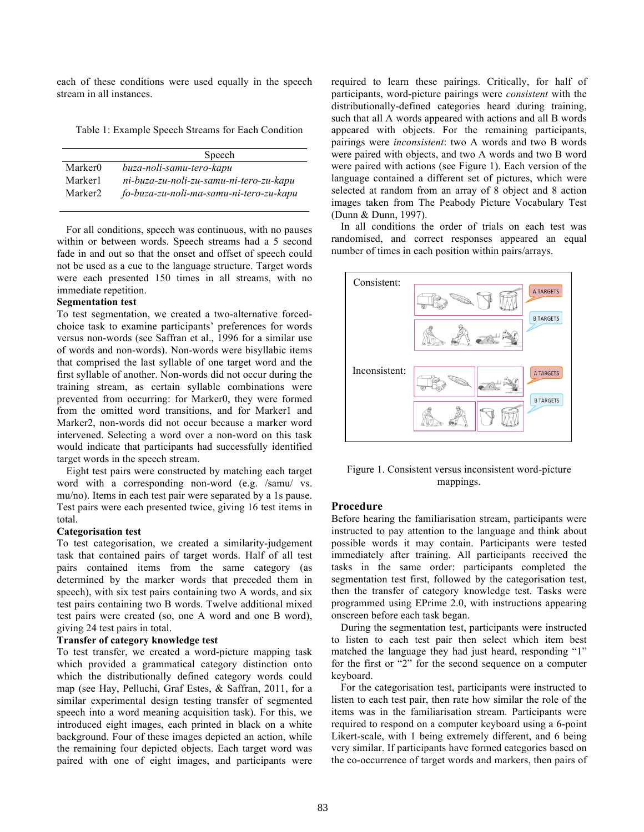each of these conditions were used equally in the speech stream in all instances.

Table 1: Example Speech Streams for Each Condition

|                     | Speech                                  |
|---------------------|-----------------------------------------|
| Marker0             | buza-noli-samu-tero-kapu                |
| Marker1             | ni-buza-zu-noli-zu-samu-ni-tero-zu-kapu |
| Marker <sub>2</sub> | fo-buza-zu-noli-ma-samu-ni-tero-zu-kapu |

For all conditions, speech was continuous, with no pauses within or between words. Speech streams had a 5 second fade in and out so that the onset and offset of speech could not be used as a cue to the language structure. Target words were each presented 150 times in all streams, with no immediate repetition.

# **Segmentation test**

To test segmentation, we created a two-alternative forcedchoice task to examine participants' preferences for words versus non-words (see Saffran et al., 1996 for a similar use of words and non-words). Non-words were bisyllabic items that comprised the last syllable of one target word and the first syllable of another. Non-words did not occur during the training stream, as certain syllable combinations were prevented from occurring: for Marker0, they were formed from the omitted word transitions, and for Marker1 and Marker2, non-words did not occur because a marker word intervened. Selecting a word over a non-word on this task would indicate that participants had successfully identified target words in the speech stream.

Eight test pairs were constructed by matching each target word with a corresponding non-word (e.g. /samu/ vs. mu/no). Items in each test pair were separated by a 1s pause. Test pairs were each presented twice, giving 16 test items in total.

#### **Categorisation test**

To test categorisation, we created a similarity-judgement task that contained pairs of target words. Half of all test pairs contained items from the same category (as determined by the marker words that preceded them in speech), with six test pairs containing two A words, and six test pairs containing two B words. Twelve additional mixed test pairs were created (so, one A word and one B word), giving 24 test pairs in total.

### **Transfer of category knowledge test**

To test transfer, we created a word-picture mapping task which provided a grammatical category distinction onto which the distributionally defined category words could map (see Hay, Pelluchi, Graf Estes, & Saffran, 2011, for a similar experimental design testing transfer of segmented speech into a word meaning acquisition task). For this, we introduced eight images, each printed in black on a white background. Four of these images depicted an action, while the remaining four depicted objects. Each target word was paired with one of eight images, and participants were

required to learn these pairings. Critically, for half of participants, word-picture pairings were *consistent* with the distributionally-defined categories heard during training, such that all A words appeared with actions and all B words appeared with objects. For the remaining participants, pairings were *inconsistent*: two A words and two B words were paired with objects, and two A words and two B word were paired with actions (see Figure 1). Each version of the language contained a different set of pictures, which were selected at random from an array of 8 object and 8 action images taken from The Peabody Picture Vocabulary Test (Dunn & Dunn, 1997).

In all conditions the order of trials on each test was randomised, and correct responses appeared an equal number of times in each position within pairs/arrays.



Figure 1. Consistent versus inconsistent word-picture mappings.

# **Procedure**

Before hearing the familiarisation stream, participants were instructed to pay attention to the language and think about possible words it may contain. Participants were tested immediately after training. All participants received the tasks in the same order: participants completed the segmentation test first, followed by the categorisation test, then the transfer of category knowledge test. Tasks were programmed using EPrime 2.0, with instructions appearing onscreen before each task began.

During the segmentation test, participants were instructed to listen to each test pair then select which item best matched the language they had just heard, responding "1" for the first or "2" for the second sequence on a computer keyboard.

For the categorisation test, participants were instructed to listen to each test pair, then rate how similar the role of the items was in the familiarisation stream. Participants were required to respond on a computer keyboard using a 6-point Likert-scale, with 1 being extremely different, and 6 being very similar. If participants have formed categories based on the co-occurrence of target words and markers, then pairs of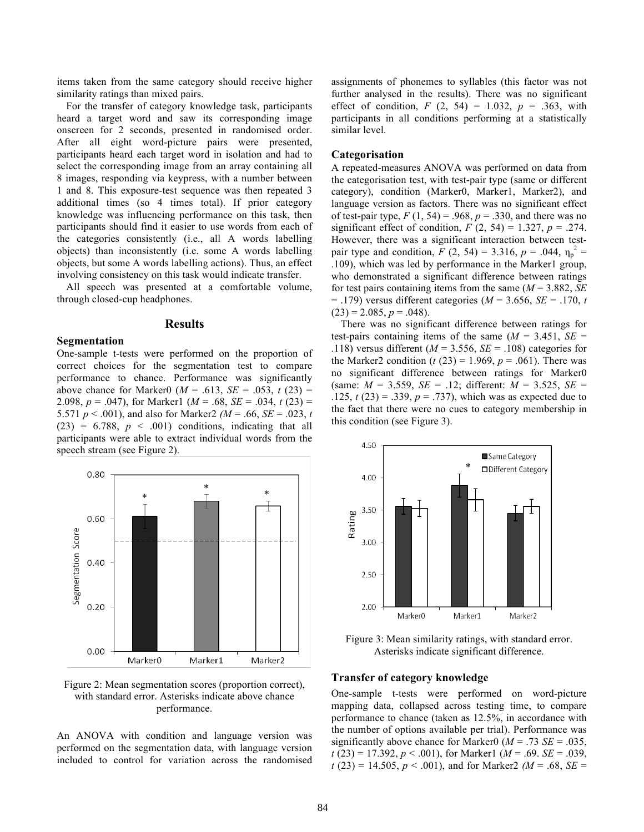items taken from the same category should receive higher similarity ratings than mixed pairs.

For the transfer of category knowledge task, participants heard a target word and saw its corresponding image onscreen for 2 seconds, presented in randomised order. After all eight word-picture pairs were presented, participants heard each target word in isolation and had to select the corresponding image from an array containing all 8 images, responding via keypress, with a number between 1 and 8. This exposure-test sequence was then repeated 3 additional times (so 4 times total). If prior category knowledge was influencing performance on this task, then participants should find it easier to use words from each of the categories consistently (i.e., all A words labelling objects) than inconsistently (i.e. some A words labelling objects, but some A words labelling actions). Thus, an effect involving consistency on this task would indicate transfer.

All speech was presented at a comfortable volume, through closed-cup headphones.

#### **Results**

#### **Segmentation**

One-sample t-tests were performed on the proportion of correct choices for the segmentation test to compare performance to chance. Performance was significantly above chance for Marker0 ( $M = .613$ ,  $SE = .053$ ,  $t(23) =$ 2.098,  $p = .047$ ), for Marker1 ( $M = .68$ ,  $SE = .034$ ,  $t(23) =$ 5.571 *p* < .001), and also for Marker2 *(M* = .66, *SE* = .023, *t*  $(23) = 6.788$ ,  $p < .001$ ) conditions, indicating that all participants were able to extract individual words from the speech stream (see Figure 2).



Figure 2: Mean segmentation scores (proportion correct), with standard error. Asterisks indicate above chance performance.

An ANOVA with condition and language version was performed on the segmentation data, with language version included to control for variation across the randomised assignments of phonemes to syllables (this factor was not further analysed in the results). There was no significant effect of condition,  $F(2, 54) = 1.032$ ,  $p = .363$ , with participants in all conditions performing at a statistically similar level.

#### **Categorisation**

A repeated-measures ANOVA was performed on data from the categorisation test, with test-pair type (same or different category), condition (Marker0, Marker1, Marker2), and language version as factors. There was no significant effect of test-pair type,  $F(1, 54) = .968$ ,  $p = .330$ , and there was no significant effect of condition,  $F(2, 54) = 1.327$ ,  $p = .274$ . However, there was a significant interaction between testpair type and condition,  $\overline{F}(2, 54) = 3.316$ ,  $p = .044$ ,  $\eta_p^2 =$ .109), which was led by performance in the Marker1 group, who demonstrated a significant difference between ratings for test pairs containing items from the same (*M* = 3.882, *SE* = .179) versus different categories (*M* = 3.656, *SE* = .170, *t*  $(23) = 2.085, p = .048$ .

There was no significant difference between ratings for test-pairs containing items of the same  $(M = 3.451, SE =$ .118) versus different (*M* = 3.556, *SE* = .108) categories for the Marker2 condition (*t* (23) = 1.969, *p* = .061). There was no significant difference between ratings for Marker0 (same:  $M = 3.559$ ,  $SE = .12$ ; different:  $M = 3.525$ ,  $SE =$ .125,  $t(23) = .339$ ,  $p = .737$ ), which was as expected due to the fact that there were no cues to category membership in this condition (see Figure 3).



Figure 3: Mean similarity ratings, with standard error. Asterisks indicate significant difference.

#### **Transfer of category knowledge**

One-sample t-tests were performed on word-picture mapping data, collapsed across testing time, to compare performance to chance (taken as 12.5%, in accordance with the number of options available per trial). Performance was significantly above chance for Marker0 ( $M = .73$  *SE* = .035, *t* (23) = 17.392, *p* < .001), for Marker1 (*M* = .69. *SE* = .039,  $t(23) = 14.505$ ,  $p < .001$ ), and for Marker2 *(M = .68, SE = .68, SE = .68, SE = .68, SE = .68, SE = .68, SE = .68, SE = .68, SE = .68, SE = .68, SE = .68, SE = .68, SE = .68, SE = .68, SE = .68, SE = .68, SE = .68, SE = .*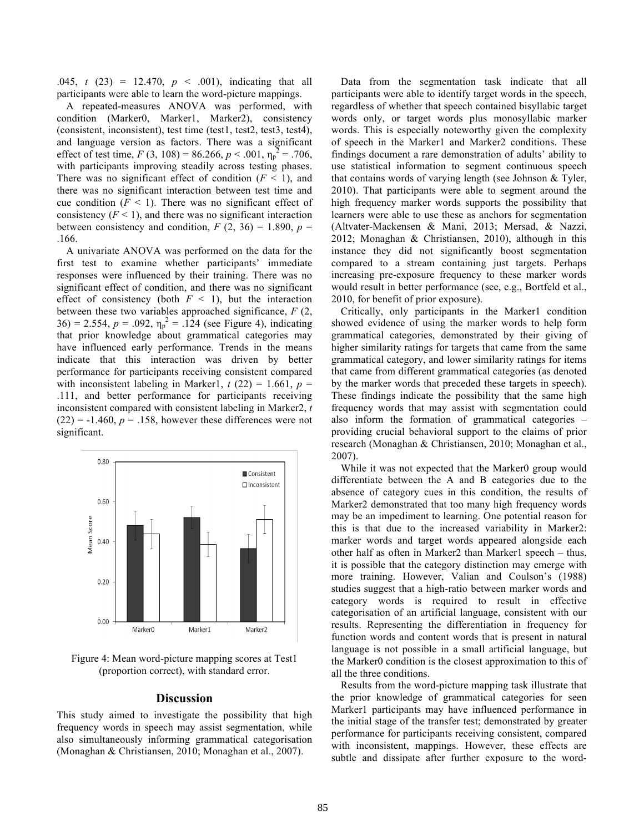.045, *t* (23) = 12.470, *p* < .001), indicating that all participants were able to learn the word-picture mappings.

A repeated-measures ANOVA was performed, with condition (Marker0, Marker1, Marker2), consistency (consistent, inconsistent), test time (test1, test2, test3, test4), and language version as factors. There was a significant effect of test time,  $F(3, 108) = 86.266$ ,  $p < .001$ ,  $\eta_p^2 = .706$ , with participants improving steadily across testing phases. There was no significant effect of condition  $(F < 1)$ , and there was no significant interaction between test time and cue condition  $(F \leq 1)$ . There was no significant effect of consistency  $(F < 1)$ , and there was no significant interaction between consistency and condition,  $F(2, 36) = 1.890$ ,  $p =$ .166.

A univariate ANOVA was performed on the data for the first test to examine whether participants' immediate responses were influenced by their training. There was no significant effect of condition, and there was no significant effect of consistency (both  $F < 1$ ), but the interaction between these two variables approached significance, *F* (2, 36) = 2.554,  $p = .092$ ,  $\eta_p^2 = .124$  (see Figure 4), indicating that prior knowledge about grammatical categories may have influenced early performance. Trends in the means indicate that this interaction was driven by better performance for participants receiving consistent compared with inconsistent labeling in Marker1,  $t(22) = 1.661$ ,  $p =$ .111, and better performance for participants receiving inconsistent compared with consistent labeling in Marker2, *t*  $(22) = -1.460$ ,  $p = .158$ , however these differences were not significant.



Figure 4: Mean word-picture mapping scores at Test1 (proportion correct), with standard error.

# **Discussion**

This study aimed to investigate the possibility that high frequency words in speech may assist segmentation, while also simultaneously informing grammatical categorisation (Monaghan & Christiansen, 2010; Monaghan et al., 2007).

Data from the segmentation task indicate that all participants were able to identify target words in the speech, regardless of whether that speech contained bisyllabic target words only, or target words plus monosyllabic marker words. This is especially noteworthy given the complexity of speech in the Marker1 and Marker2 conditions. These findings document a rare demonstration of adults' ability to use statistical information to segment continuous speech that contains words of varying length (see Johnson & Tyler, 2010). That participants were able to segment around the high frequency marker words supports the possibility that learners were able to use these as anchors for segmentation (Altvater-Mackensen & Mani, 2013; Mersad, & Nazzi, 2012; Monaghan & Christiansen, 2010), although in this instance they did not significantly boost segmentation compared to a stream containing just targets. Perhaps increasing pre-exposure frequency to these marker words would result in better performance (see, e.g., Bortfeld et al., 2010, for benefit of prior exposure).

Critically, only participants in the Marker1 condition showed evidence of using the marker words to help form grammatical categories, demonstrated by their giving of higher similarity ratings for targets that came from the same grammatical category, and lower similarity ratings for items that came from different grammatical categories (as denoted by the marker words that preceded these targets in speech). These findings indicate the possibility that the same high frequency words that may assist with segmentation could also inform the formation of grammatical categories – providing crucial behavioral support to the claims of prior research (Monaghan & Christiansen, 2010; Monaghan et al., 2007).

While it was not expected that the Marker0 group would differentiate between the A and B categories due to the absence of category cues in this condition, the results of Marker2 demonstrated that too many high frequency words may be an impediment to learning. One potential reason for this is that due to the increased variability in Marker2: marker words and target words appeared alongside each other half as often in Marker2 than Marker1 speech – thus, it is possible that the category distinction may emerge with more training. However, Valian and Coulson's (1988) studies suggest that a high-ratio between marker words and category words is required to result in effective categorisation of an artificial language, consistent with our results. Representing the differentiation in frequency for function words and content words that is present in natural language is not possible in a small artificial language, but the Marker0 condition is the closest approximation to this of all the three conditions.

Results from the word-picture mapping task illustrate that the prior knowledge of grammatical categories for seen Marker1 participants may have influenced performance in the initial stage of the transfer test; demonstrated by greater performance for participants receiving consistent, compared with inconsistent, mappings. However, these effects are subtle and dissipate after further exposure to the word